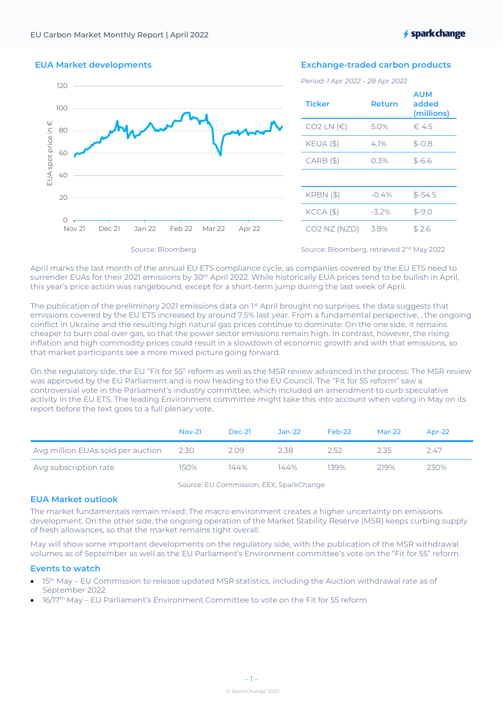**★ spark change** 

# EUA Market developments



# Exchange-traded carbon products

*Period: 1 Apr 2022 – 28 Apr 2022*

| <b>Ticker</b>                                     | Return  | <b>AUM</b><br>added<br>(millions) |
|---------------------------------------------------|---------|-----------------------------------|
| CO2 LN $(E)$                                      | 5.0%    | €.4.5                             |
| $KEUA$ (\$)                                       | 4.1%    | $$ -0.8$                          |
| $CARB($ \$)                                       | 0.3%    | $$ -6.6$                          |
|                                                   |         |                                   |
| <b>KRBN</b> (\$)                                  | $-0.4%$ | $$ -54.5$                         |
| $KCCA$ $($ \$)                                    | $-3.2%$ | $$ -9.0$                          |
| CO <sub>2</sub> N <sub>Z</sub> (N <sub>ZD</sub> ) | 3.8%    | \$2.6                             |

Source: Bloomberg

Source: Bloomberg, retrieved 2<sup>nd</sup> May 2022

April marks the last month of the annual EU ETS compliance cycle, as companies covered by the EU ETS need to surrender EUAs for their 2021 emissions by 30<sup>th</sup> April 2022. While historically EUA prices tend to be bullish in April, this year's price action was rangebound, except for a short-term jump during the last week of April.

The publication of the preliminary 2021 emissions data on 1st April brought no surprises, the data suggests that emissions covered by the EU ETS increased by around 7.5% last year. From a fundamental perspective, , the ongoing conflict in Ukraine and the resulting high natural gas prices continue to dominate: On the one side, it remains cheaper to burn coal over gas, so that the power sector emissions remain high. In contrast, however, the rising inflation and high commodity prices could result in a slowdown of economic growth and with that emissions, so that market participants see a more mixed picture going forward.

On the regulatory side, the EU "Fit for 55" reform as well as the MSR review advanced in the process: The MSR review was approved by the EU Parliament and is now heading to the EU Council. The "Fit for 55 reform" saw a controversial vote in the Parliament's industry committee, which included an amendment to curb speculative activity in the EU ETS. The leading Environment committee might take this into account when voting in May on its report before the text goes to a full plenary vote..

|                                   | $Nov-21$ | Dec-21 | $Jan-22$ | Feb-22 | $Mar-22$ | Apr- $22$ |
|-----------------------------------|----------|--------|----------|--------|----------|-----------|
| Avg million EUAs sold per auction | 2.30     | 2.09   | 2.38     | フトフ    | 2.35     | 247       |
| Avg subscription rate             | 150%     | 144%   | 144%     | 139%   | 219%     | 230%      |

Source: EU Commission, EEX, SparkChange

# EUA Market outlook

The market fundamentals remain mixed: The macro environment creates a higher uncertainty on emissions development. On the other side, the ongoing operation of the Market Stability Reserve (MSR) keeps curbing supply of fresh allowances, so that the market remains tight overall.

May will show some important developments on the regulatory side, with the publication of the MSR withdrawal volumes as of September as well as the EU Parliament's Environment committee's vote on the "Fit for 55" reform.

### Events to watch

- 15<sup>th</sup> May EU Commission to release updated MSR statistics, including the Auction withdrawal rate as of September 2022
- 16/17th May EU Parliament's Environment Committee to vote on the Fit for 55 reform